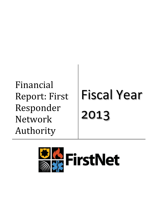Financial Report: First Responder Network Authority

# Fiscal Year 2013

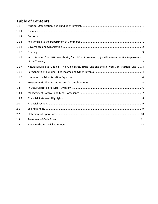# **Table of Contents**

| 1.1   |                                                                                                     |
|-------|-----------------------------------------------------------------------------------------------------|
| 1.1.1 |                                                                                                     |
| 1.1.2 |                                                                                                     |
| 1.1.3 |                                                                                                     |
| 1.1.4 |                                                                                                     |
| 1.1.5 |                                                                                                     |
| 1.1.6 | Initial Funding from NTIA - Authority for NTIA to Borrow up to \$2 Billion from the U.S. Department |
| 1.1.7 | Network Build-out Funding - The Public Safety Trust Fund and the Network Construction Fund  4       |
| 1.1.8 |                                                                                                     |
| 1.1.9 |                                                                                                     |
| 1.2   |                                                                                                     |
| 1.3   |                                                                                                     |
| 1.3.1 |                                                                                                     |
| 1.3.2 |                                                                                                     |
| 2.0   |                                                                                                     |
| 2.1   |                                                                                                     |
| 2.2   |                                                                                                     |
| 2.3   |                                                                                                     |
| 2.4   |                                                                                                     |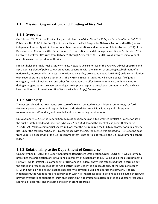# <span id="page-2-1"></span><span id="page-2-0"></span>**1.1 Mission, Organization, and Funding of FirstNet**

## **1.1.1 Overview**

On February 22, 2012, the President signed into law the *Middle Class Tax Relief and Job Creation Act of 2012*, Public Law No. 112-96 (the "Act") which established the First Responder Network Authority (FirstNet) as an independent authority within the National Telecommunications and Information Administration (NTIA) of the Department of Commerce (the Department). FirstNet's Board held its inaugural meeting in September 2012. FirstNet's fiscal year (FY) runs from October 1 through September 30. FY 2013 was FirstNet's initial year of operation as an independent authority.

FirstNet holds the single Public Safety Wireless Network License for use of the 700MHz D block spectrum and a pre-existing block of public safety broadband spectrum, with the mission of ensuring establishment of a nationwide, interoperable, wireless nationwide public safety broadband network (NPSBN) built in consultation with Federal, state, and local authorities. The NPSBN FirstNet establishes will enable police, firefighters, emergency medical technicians, and other first responders to effectively communicate with one another during emergencies and use new technologies to improve response time, keep communities safe, and save lives. Additional information on FirstNet is available at *http://firstnet.gov.*

# <span id="page-2-2"></span>**1.1.2 Authority**

The Act established the governance structure of FirstNet; created related advisory committees; set forth FirstNet's powers, duties and responsibilities; authorized FirstNet's initial funding and subsequent requirement for self-funding; and provided audit and reporting requirements.

On November 15, 2012, the Federal Communications Commission (FCC) granted FirstNet a license for use of the public safety broadband spectrum (763-768/793-798 MHz) and the spectrally adjacent D Block (758- 763/788-793 MHz), a commercial spectrum block that the Act required the FCC to reallocate for public safety use, under the call sign WQQE234. In accordance with the Act, the license was granted to FirstNet at no cost from underlying spectrum of the U.S. government that is not carried at value in the U.S. government's general ledger.

# <span id="page-2-3"></span>**1.1.3 Relationship to the Department of Commerce**

On September 17, 2012, the Department issued Department Organization Order (DOO) 25-7, which formally prescribes the organization of FirstNet and assignment of functions within NTIA including the establishment of FirstNet. While FirstNet is a component of NTIA and is a Federal entity, it is established that in carrying out the duties and responsibilities of the Act, FirstNet is not under the direct authority of the Administrator of NTIA and may plan and execute actions necessary to develop, build, and operate the network. Though independent, the Act does require coordination with NTIA regarding specific actions to be executed by NTIA to provide oversight and support of FirstNet, including but not limited to matters related to budgetary resources, approval of user fees, and the administration of grant programs.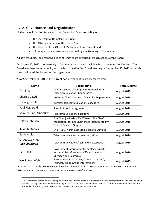## <span id="page-3-0"></span>**1.1.4 Governance and Organization**

Under the Act, FirstNet is headed by a 15-member Board consisting of:

- the Secretary of Homeland Security;
- the Attorney General of the United States;
- the Director of the Office of Management and Budget; and
- 12 non-permanent members appointed by the Secretary of Commerce.

All powers, duties, and responsibilities of FirstNet are exercised through actions of the Board.

On August 20, 2012, the Secretary of Commerce announced the initial Board members for FirstNet. The Board members were sworn in, and the Board held its first Board meeting on September 25, 2012, at which time it adopted the Bylaws for the organization.

| <b>Name</b>                            | <b>Background</b>                                                                                                                | <b>Term Expires</b> |  |
|----------------------------------------|----------------------------------------------------------------------------------------------------------------------------------|---------------------|--|
| Tim Bryan                              | Chief Executive Officer (CEO), National Rural<br><b>Telecommunications Cooperative</b>                                           | August 2015         |  |
| <b>Charles Dowd</b>                    | Assistant Chief, New York City Police Department                                                                                 | August 2014         |  |
| F. Craig Farrill                       | Wireless telecommunications executive                                                                                            | August 2015         |  |
| Paul Fitzgerald                        | Sheriff, Story County, Iowa                                                                                                      | August 2014         |  |
| Samuel Ginn, Chairman                  | Telecommunications executive                                                                                                     | August 2014         |  |
| Jeffrey Johnson                        | Fire Chief (retired); CEO, Western Fire Chiefs<br>Association; former Chair, State Interoperability<br>Council, State of Oregon; | August 2016         |  |
| <b>Kevin McGinnis</b>                  | Chief/CEO, North East Mobile Health Services                                                                                     | August 2015         |  |
| Ed Reynolds                            | Telecommunications executive (retired)                                                                                           | August 2014         |  |
| Susan Swenson,<br><b>Vice Chairman</b> | Telecommunications/technology executive                                                                                          | August 2016         |  |
| Teri Takai                             | Government information technology expert;<br>former Chief Information Officer, States of<br>Michigan and California              | August 2016         |  |
| <b>Wellington Webb</b>                 | Former Mayor of Denver, Colorado (retired);<br>Founder, Webb Group International                                                 | August 2015         |  |

As of September 30, 20[1](#page-3-1)3<sup>1</sup>, the current non-permanent Board members were:

On April 23, 2013, the Board selected William D'Agostino, Jr. as General Manager of FirstNet. On June 4, 2013, the Board approved the organizational structure of FirstNet.

<span id="page-3-1"></span> $1$  Board member Barry Boniface was appointed to the FirstNet Board in November 2013 as a replacement for William Keever who served as an original Board member until August 2013. Sam Ginn stepped down from the Chairmanship in June 2014 and was replaced in this role by Susan Swenson, but remains on the Board as a member.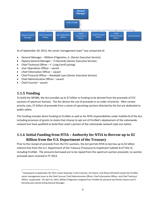

As of September 30, [2](#page-4-2)013, the senior management team<sup>2</sup> was comprised of:

- General Manager William D'Agostino, Jr. (Senior Executive Service)
- Deputy General Manager TJ Kennedy (Senior Executive Service)
- Chief Technical Officer F. Craig Farrill (acting)
- User Operations Officer vacant
- Chief Information Officer vacant
- Chief Financial Officer Randolph Lyon (Senior Executive Service)
- Chief Administrative Officer vacant
- <span id="page-4-0"></span>• Chief Counsel – vacant

## **1.1.5 Funding**

To build the NPSBN, the Act provides up to \$7 billion in funding to be derived from the proceeds of FCC auctions of spectrum licenses. The Act directs the use of proceeds in an order of priority. After certain priority uses, \$7 billion of proceeds from a series of upcoming auctions directed by the Act are dedicated to public safety.

This funding includes direct funding to FirstNet as well as for NTIA responsibilities under Subtitle B of the Act, including provision of grants to states that choose to opt out of FirstNet's deployment of the nationwide network but have qualified to build their state's portion of the nationwide network (opt-out states).

# <span id="page-4-1"></span>**1.1.6 Initial Funding from NTIA – Authority for NTIA to Borrow up to \$2 Billion from the U.S. Department of the Treasury**

Prior to the receipt of proceeds from the FCC auctions, the Act permits NTIA to borrow up to \$2 billion interest-free from the U.S. Department of the Treasury (Treasury) to implement Subtitle B of Title VI, including FirstNet. The amounts borrowed are to be repaid from the spectrum auction proceeds; no auction proceeds were received in FY 2013.

<span id="page-4-2"></span><sup>&</sup>lt;sup>2</sup> Subsequent to September 30, 2013, Stuart Kupinsky, Frank Freeman, Jim Gwinn, and Alireza Afrashteh joined the FirstNet senior management team as the Chief Counsel, Chief Administrative Officer, Chief Information Officer, and Chief Technical Officer, respectively. On April 14, 2014, William D'Agostino resigned from FirstNet for personal and family reasons and TJ Kennedy was named Acting General Manager.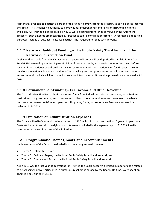NTIA makes available to FirstNet a portion of the funds it borrows from the Treasury to pay expenses incurred by FirstNet. FirstNet has no authority to borrow funds independently and relies on NTIA to make funds available. All FirstNet expenses paid in FY 2013 were disbursed from funds borrowed by NTIA from the Treasury. Such amounts are recognized by FirstNet as capital contributions from NTIA for financial reporting purposes, instead of advances, because FirstNet is not required to repay such amounts.

# <span id="page-5-0"></span>**1.1.7 Network Build-out Funding – The Public Safety Trust Fund and the Network Construction Fund**

Designated proceeds from the FCC auctions of spectrum licenses will be deposited in a Public Safety Trust Fund (PSTF) created by the Act. Up to \$7 billion of these proceeds, less certain amounts borrowed before receipt of the auction proceeds, will be transferred to a Network Construction Fund for FirstNet to use to build out the nationwide network and for NTIA to make grants to opt-out states to build their own radio access networks, which will link to the FirstNet core infrastructure. No auction proceeds were received in FY 2013.

## <span id="page-5-1"></span>**1.1.8 Permanent Self-Funding – Fee Income and Other Revenue**

The Act authorizes FirstNet to obtain grants and funds from individuals, private companies, organizations, institutions, and governments; and to assess and collect various network user and lease fees to enable it to become a permanent, self-funded operation. No grants, funds, or user or lease fees were assessed or collected in FY 2013.

## <span id="page-5-2"></span>**1.1.9 Limitation on Administration Expenses**

The Act caps FirstNet's administrative expenses at \$100 million in total over the first 10 years of operations. Costs attributed to certain oversight and audits are not included in the expense cap. In FY 2013, FirstNet incurred no expenses in excess of the limitation.

# <span id="page-5-3"></span>**1.2 Programmatic Themes, Goals, and Accomplishments**

Implementation of the Act can be divided into three programmatic themes:

- Theme 1: Establish FirstNet;
- Theme 2: Build and Deploy the National Public Safety Broadband Network; and
- Theme 3: Operate and Sustain the National Public Safety Broadband Network.

As FY 2013 was the first year of operations for FirstNet, the Board set forth a limited number of goals related to establishing FirstNet, articulated in numerous resolutions passed by the Board. No funds were spent on Themes 2 or 3 during FY 2013.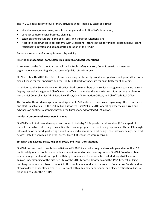The FY 2013 goals fall into four primary activities under Theme 1, Establish FirstNet:

- Hire the management team, establish a budget and build FirstNet's foundation;
- Conduct comprehensive business planning;
- Establish and execute state, regional, local, and tribal consultations; and
- Negotiate spectrum lease agreements with Broadband Technology Opportunities Program (BTOP) grant recipients to develop and demonstrate operation of the NPSBN.

Below is a summary of accomplishments by activity:

#### **Hire the Management Team, Establish a Budget, and Start Operations**

As required by the Act, the Board established a Public Safety Advisory Committee with 41 member organizations representing a broad range of public safety interests.

On November 16, 2012, the FCC reallocated existing public safety broadband spectrum and granted FirstNet a single license for that spectrum and the 700 MHz D block of spectrum for an initial term of 10 years.

In addition to the General Manager, FirstNet hired core members of its senior management team including a Deputy General Manager and Chief Financial Officer, and ended the year with recruiting actions in place to hire a Chief Counsel, Chief Administrative Officer, Chief Information Officer, and Chief Technical Officer.

The Board authorized management to obligate up to \$50 million to fund business planning efforts, outreach, and start up activities. Of the \$50 million authorized, FirstNet's FY 2013 operating expenses incurred and advances on contracts extending beyond the fiscal year end totaled \$17.9 million.

#### **Conduct Comprehensive Business Planning**

FirstNet's technical team developed and issued to industry 11 Requests for Information (RFIs) as part of its market research effort to begin evaluating the most appropriate network design approach. These RFIs sought information on network partnering opportunities, radio access network design, core network design, network devices, satellite services, and other areas. Over 300 responses were received.

#### **Establish and Execute State, Regional, Local, and Tribal Consultations**

FirstNet outreach and consultation activities in FY 2013 included six regional workshops and more than 90 public safety related conferences, public discussions, and official meetings where FirstNet Board members, senior management, and staff spoke with target audiences. These activities included trips to Oklahoma to gain an understanding of the disaster sites of the 2013 Moore, OK tornado and the 1995 Federal building bombing; to New Jersey to observe relief efforts of first responders in the wake of Superstorm Sandy; and to almost a dozen other states where FirstNet met with public safety personnel and elected officials to discuss plans and goals for the NPSBN.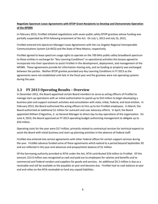## **Negotiate Spectrum Lease Agreements with BTOP Grant Recipients to Develop and Demonstrate Operation of the NPSBN**

In February 2013, FirstNet initiated negotiations with seven public safety BTOP grantees whose funding was partially suspended by NTIA following enactment of the Act. On July 1, 2013 and July 23, 2013,

FirstNet entered into Spectrum Manager Lease Agreements with the Los Angeles Regional Interoperable Communications System (LA-RICS) and the State of New Mexico, respectively.

FirstNet agreed to lease spectrum usage rights to operate on the 700 MHz public safety broadband spectrum to these entities in exchange for "Key Learning Conditions" or operational activities the lessees agreed to incorporate into their operations to assist FirstNet in the development, deployment, and management of the NPSBN. These agreements provide for information sharing only, and no funding or property was exchanged between the parties. Neither BTOP grantee provided any Key Learning Conditions in FY 2013 as the agreements were not established until late in the fiscal year and the grantees were not operating systems during the year.

## <span id="page-7-0"></span>**1.3 FY 2013 Operating Results – Overview**

In December 2012, the Board appointed certain Board members to serve as acting officers of FirstNet to manage start-up operations with an initial authorization to spend up to \$10 million to begin developing a business plan and support outreach activities and consultation with state, tribal, Federal, and local entities. In February 2013, the Board authorized the acting officers to hire up to ten FirstNet employees. In March, the Board authorized an additional \$1 million for outreach and user advocacy efforts. In April, the Board appointed William D'Agostino, Jr. as General Manager to direct day-to-day operations of the organization. On June 4, 2013, the Board approved an FY 2013 operating budget authorizing management to obligate up to \$50 million.

Operating costs for the year were \$17 million, primarily related to contractual services for technical experts to assist the Board with initial business and start-up planning activities in the absence of Federal staff.

FirstNet also entered into service agreements with other Federal offices for certain support services during the year. FirstNet advance funded some of these agreements which extend to a period beyond September 30 and are reflected in the year-end advances and prepayments balance of \$1 million.

Of the borrowing authority provided to NTIA under the Act, NTIA contributed \$18 million to FirstNet. Of this amount, \$13.9 million was recognized as cash and paid out to employees for salaries and benefits and to commercial and Federal vendors and suppliers for goods and services. An additional \$4.2 million is due as a receivable and will be available as the payables at year end become due. FirstNet had no cash balance at year end and relies on the NTIA receivable to fund any unpaid liabilities.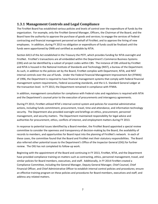# <span id="page-8-0"></span>**1.3.1 Management Controls and Legal Compliance**

The FirstNet Board has established various policies and levels of control over the expenditure of funds by the organization. For example, only the FirstNet General Manager, Officers, the Chairman of the Board, and the Board have the authority to approve the purchase of goods and services; to engage the services of Federal contracting and financial management personnel on behalf of FirstNet; and to approve the hiring of new employees. In addition, during FY 2013 no obligation or expenditure of funds could be finalized until the funds were apportioned by OMB and certified as available by NTIA.

Section 6413 of the Act established in the Treasury the PSTF, which provides funding for NTIA oversight and FirstNet. FirstNet's transactions are all embedded within the Department's Commerce Business Systems (CBS) and can be identified by a subset of project codes within CBS. The instance of CBS utilized by FirstNet and NTIA is housed in the National Institute of Standards and Technology (NIST), a bureau of the Department. As such, in addition to the policies set by the Board, FirstNet complies with Department, NTIA, and NIST internal controls over the use of funds. Under the Federal Financial Management Improvement Act (FFMIA) of 1996, the Department is required to have financial management systems that comply with Federal financial management system requirements, Federal accounting standards, and the U.S. Standard General Ledger at the transaction level. In FY 2013, the Department remained in compliance with FFMIA.

In addition, management consultation for compliance with Federal rules and regulations is required with NTIA and the Department's counsel prior to the execution of procurements and interagency agreements.

During FY 2013, FirstNet utilized NTIA's internal control system and policies for essential administrative actions, including funds commitment, procurement, travel, time and attendance, and information technology security. The Department also provided oversight and briefings on ethics, procurement, personnel management, and security matters. The Department maintained responsibility for legal advice and authorities for procurement, ethics, conflicts of interest, and employment matters during FY 2013.

In response to potential issues identified by a Board member, the FirstNet Board appointed a special review committee to consider the openness and transparency of decision-making by the Board, the availability of records to members, and opportunities for Board input into the planning of FirstNet's network. In each of these cases, the committee found that the Board and FirstNet met their statutory responsibilities. The Board also referred other potential issues to the Department's Office of the Inspector General (OIG) for further review. The OIG has not completed its follow-up work.

Beginning with the appointment of the Board and continuing in FY 2013, FirstNet, NTIA, and the Department have provided compliance training on matters such as contracting, ethics, personnel management, travel, and similar policies for Board members, executives, and staff. Additionally, in FY 2014 FirstNet created a Compliance Committee, including the General Manager, Deputy General Manager, Chief Counsel, Chief Financial Officer, and Chief Administrative Officer to establish internal control policies and procedures; ensure an effective training program on these policies and procedures for Board members, executives and staff; and address any related matters.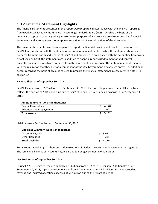# <span id="page-9-0"></span>**1.3.2 Financial Statement Highlights**

The financial statements presented in this report were prepared in accordance with the financial reporting framework established by the Financial Accounting Standards Board (FASB), which is the basis of U.S. generally accepted accounting principles (GAAP) for purposes of FirstNet's external reporting. The financial statements and accompanying notes appear in section 2.0 (Financial Section) of this document.

The financial statements have been prepared to report the financial position and results of operations of FirstNet in compliance with the audit and report requirements of the Act. While the statements have been prepared from the books and records of FirstNet and presented in accordance with the accounting framework established by FASB, the statements are in addition to financial reports used to monitor and control budgetary resources, which are prepared from the same books and records. The statements should be read with the realization that they are for a component of the U.S. Government, a sovereign entity. For additional details regarding the basis of accounting used to prepare the financial statements, please refer to Note 1. in section 2.4.

## **Balance Sheet as of September 30, 2013**

FirstNet's assets were \$5.2 million as of September 30, 2013. FirstNet's largest asset, Capital Receivables, reflects the portion of NTIA borrowing due to FirstNet to pay FirstNet's unpaid expenses as of September 30, 2013.

| <b>Assets Summary (Dollars in thousands)</b> |  |       |  |
|----------------------------------------------|--|-------|--|
| Capital Receivables                          |  | 4.170 |  |
| <b>Advances and Prepayments</b>              |  | 1.021 |  |
| <b>Total Assets</b>                          |  | 5,191 |  |
|                                              |  |       |  |

Liabilities were \$4.2 million as of September 30, 2013.

| Liabilities Summary (Dollars in thousands) |         |
|--------------------------------------------|---------|
| <b>Accounts Payable</b>                    | \$3,931 |
| <b>Other Liabilities</b>                   | 239     |
| <b>Total Liabilities</b>                   | 4.170   |

For Accounts Payable, \$142 thousand is due to other U.S. Federal government departments and agencies. The remaining balance of Accounts Payable is due to non-governmental organizations.

#### **Net Position as of September 30, 2013**

During FY 2013, FirstNet received capital contributions from NTIA of \$13.9 million. Additionally, as of September 30, 2013, capital contributions due from NTIA amounted to \$4.2 million. FirstNet earned no revenue and incurred operating expenses of \$17 million during the reporting period.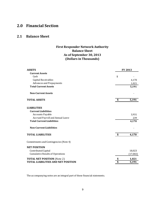# <span id="page-10-1"></span><span id="page-10-0"></span>**2.0 Financial Section**

## **2.1 Balance Sheet**

## **First Responder Network Authority Balance Sheet As of September 30, 2013 (Dollars in Thousands)**

| <b>ASSETS</b>                                    | <b>FY 2013</b> |  |
|--------------------------------------------------|----------------|--|
| <b>Current Assets</b>                            |                |  |
| Cash                                             | \$             |  |
| Capital Receivables                              | 4,170          |  |
| <b>Advances and Prepayments</b>                  | 1,021          |  |
| <b>Total Current Assets</b>                      | 5,191          |  |
| <b>Non-Current Assets</b>                        |                |  |
| <b>TOTAL ASSETS</b>                              | \$<br>5,191    |  |
| <b>LIABILITIES</b><br><b>Current Liabilities</b> |                |  |
| <b>Accounts Payable</b>                          | 3,931          |  |
| Accrued Payroll and Annual Leave                 | 239            |  |
| <b>Total Current Liabilities</b>                 | 4,170          |  |
| <b>Non-Current Liabilities</b>                   |                |  |
| <b>TOTAL LIABILITIES</b>                         | \$<br>4,170    |  |
| Commitments and Contingencies (Note 4)           |                |  |
| <b>NET POSITION</b>                              |                |  |
| Contributed Capital                              | 18,023         |  |
| <b>Cumulative Results of Operations</b>          | (17,002)       |  |
| <b>TOTAL NET POSITION (Note 2)</b>               | \$<br>1,021    |  |
| <b>TOTAL LIABILITIES AND NET POSITION</b>        | \$<br>5,191    |  |

The accompanying notes are an integral part of these financial statements.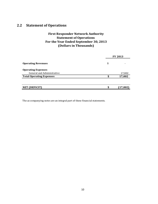# <span id="page-11-0"></span>**2.2 Statement of Operations**

## **First Responder Network Authority Statement of Operations For the Year Ended September 30, 2013 (Dollars in Thousands)**

|                                 |        | <b>FY 2013</b> |  |
|---------------------------------|--------|----------------|--|
| <b>Operating Revenues</b>       | \$     |                |  |
| <b>Operating Expenses</b>       |        |                |  |
| General and Administrative      |        | 17,002         |  |
| <b>Total Operating Expenses</b> | c<br>J | 17,002         |  |
|                                 |        |                |  |
| NET (DEFICIT)                   | ¢      | (17,002)       |  |

The accompanying notes are an integral part of these financial statements.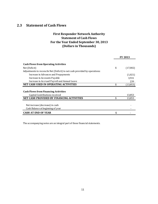## <span id="page-12-0"></span>**2.3 Statement of Cash Flows**

## **First Responder Network Authority Statement of Cash Flows For the Year Ended September 30, 2013 (Dollars in Thousands)**

|                                                                            | <b>FY 2013</b> |           |
|----------------------------------------------------------------------------|----------------|-----------|
| <b>Cash Flows from Operating Activities</b>                                |                |           |
| Net (Deficit)                                                              | \$             | (17,002)  |
| Adjustments to reconcile Net (Deficit) to net cash provided by operations: |                |           |
| Increase in Advances and Prepayments                                       |                | (1,021)   |
| Increase in Accounts Payable                                               |                | 3,931     |
| Increase in Accrued Payroll and Annual Leave                               |                | 239       |
| <b>NET CASH USED IN OPERATING ACTIVITIES</b>                               |                | (13, 853) |
|                                                                            |                |           |
| <b>Cash Flows from Financing Activities</b>                                |                |           |
| Capital Contributions received                                             |                | 13,853    |
| NET CASH PROVIDED BY FINANCING ACTIVITIES                                  | \$             | 13,853    |
|                                                                            |                |           |
| Net increase (decrease) in cash                                            |                |           |
| Cash Balance at beginning of year                                          |                |           |
| <b>CASH AT END OF YEAR</b>                                                 | \$             |           |

The accompanying notes are an integral part of these financial statements.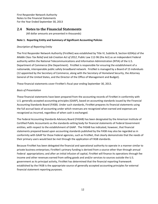## <span id="page-13-0"></span>**2.4 Notes to the Financial Statements**

(All dollar amounts are presented in thousands)

## **Note 1. Reporting Entity and Summary of Significant Accounting Policies**

## *Description of Reporting Entity*

The First Responder Network Authority (FirstNet) was established by Title VI, Subtitle B, Section 6204(a) of the *Middle Class Tax Relief and Job Creation Act of 2012*, Public Law 112-96 (the Act) as an independent Federal authority within the National Telecommunications and Information Administration (NTIA) of the U.S. Department of Commerce (the Department). FirstNet is responsible for ensuring the establishment of a nationwide, interoperable public safety broadband network. FirstNet is managed by a Board of 15 individuals (12 appointed by the Secretary of Commerce, along with the Secretary of Homeland Security, the Attorney General of the United States, and the Director of the Office of Management and Budget).

These financial statements cover FirstNet's fiscal year ending September 30, 2013.

## *Basis of Presentation*

These financial statements have been prepared from the accounting records of FirstNet in conformity with U.S. generally accepted accounting principles (GAAP), based on accounting standards issued by the Financial Accounting Standards Board (FASB). Under such standards, FirstNet prepares its financial statements using the full accrual basis of accounting under which revenues are recognized when earned and expenses are recognized as incurred, regardless of when cash is exchanged.

The Federal Accounting Standards Advisory Board (FASAB) has been designated by the American Institute of Certified Public Accountants as the standards-setting body for financial statements of Federal Government entities, with respect to the establishment of GAAP. The FASAB has indicated, however, that financial statements prepared based upon accounting standards published by the FASB may also be regarded as in conformity with GAAP for those Federal agencies, such as FirstNet, that clearly demonstrate that the needs of their primary users would best be met through the application of FASB standards.

Because FirstNet has been delegated the financial and operational authority to operate in a manner similar to private business enterprises; FirstNet's primary funding is derived from a source other than through annual Federal appropriations; and after an initial infusion of capital, FirstNet will finance its operations through fee income and other revenues earned from selling goods and and/or services to sources outside the U.S. government as its principal activity, FirstNet has determined that the financial reporting framework established by the FASB is the appropriate source of generally accepted accounting principles for external financial statement reporting purposes.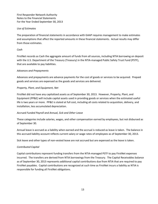## *Use of Estimates*

The preparation of financial statements in accordance with GAAP requires management to make estimates and assumptions that affect the reported amounts in these financial statements. Actual results may differ from those estimates.

## *Cash*

FirstNet records as Cash the aggregate amount of funds from all sources, including NTIA borrowing on deposit with the U.S. Department of the Treasury (Treasury) in the NTIA-managed Public Safety Trust Fund (PSTF), that are available to pay liabilities.

## *Advances and Prepayments*

Advances and prepayments are advance payments for the cost of goods or services to be acquired. Prepaid goods and services are expensed as the goods and services are delivered.

## *Property, Plant, and Equipment, Net*

FirstNet did not have any capitalized assets as of September 30, 2013. However, Property, Plant, and Equipment (PP&E) will include capital assets used in providing goods or services when the estimated useful life is two years or more. PP&E is stated at full cost, including all costs related to acquisition, delivery, and installation, less accumulated depreciation.

## *Accrued Funded Payroll and Annual, Sick and Other Leave*

These categories include salaries, wages, and other compensation earned by employees, but not disbursed as of September 30.

Annual leave is accrued as a liability when earned and the accrual is reduced as leave is taken. The balance in this accrued liability account reflects current salary or wage rates of employees as of September 30, 2013.

Sick leave and other types of non-vested leave are not accrued but are expensed as the leave is taken.

## *Contributed Capital*

Capital contributions represent funding transfers from the NTIA-managed PSTF to pay FirstNet expenses incurred. The transfers are derived from NTIA borrowings from the Treasury. The Capital Receivables balance as of September 30, 2013 represents additional capital contributions due from NTIA that are required to pay FirstNet payables. Capital contributions are recognized at such time as FirstNet incurs a liability as NTIA is responsible for funding all FirstNet obligations.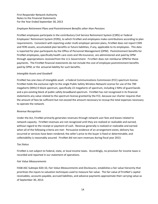#### *Employee Retirement Plans and Postretirement Benefits other than Pensions*

FirstNet employees participate in the contributory Civil Service Retirement System (CSRS) or Federal Employees' Retirement System (FERS), to which FirstNet and employees make contributions according to plan requirements. Consistent with reporting under multi-employer pension plans, FirstNet does not report CSRS and FERS assets, accumulated plan benefits or future liabilities, if any, applicable to its employees. This data is reported for plan participants by the Office of Personnel Management (OPM). Postretirement benefits for FirstNet employees, specifically health care costs and life insurance, are administered and paid by OPM through appropriations received from the U.S.Government. FirstNet does not reimburse OPMfor these payments. The FirstNet financial statements do not include the cost of employee postretirement benefits paid by OPM, or the actuarial liability for such benefits.

#### *Intangible Assets and Goodwill*

FirstNet has one class of intangible asset: a Federal Communications Commission (FCC) spectrum license. FirstNet holds the exclusive right to the single Public Safety Wireless Network License for use of the 700 megahertz (MHz) D block spectrum, specifically 22 megahertz of spectrum, including 2 MHz of guard bands and a pre-existing block of public safety broadband spectrum. FirstNet has not recognized in its financial statements any value related to the spectrum license granted by the FCC, because our charter requires that the amount of fees be sufficient but not exceed the amount necessary to recoup the total expenses necessary to operate the network.

#### *Revenue Recognition*

Under the Act, FirstNet primarily generates revenues through network user fees and leases related to network capacity. FirstNet revenues are not recognized until they are realized or realizable and earned, without regard to the receipt or payment of cash. Revenue generally is realized or realizable and earned when all of the following criteria are met: Persuasive evidence of an arrangement exists; delivery has occurred or services have been rendered; the seller's price to the buyer is fixed or determinable; and collectability is reasonably assured. FirstNet did not earn revenues during fiscal year 2013.

#### *Tax Status*

FirstNet is not subject to Federal, state, or local income taxes. Accordingly, no provision for income taxes is recorded and reported in our statement of operations.

#### *Fair Value Measurements*

FASB ASC Subtopic 820-10, *Fair Value Measurements and Disclosures*, establishes a fair value hierarchy that prioritizes the inputs to valuation techniques used to measure fair value. The fair value of FirstNet's capital receivables, accounts payable, accrued liabilities, and advance payments approximate their carrying value as of September 30, 2013.